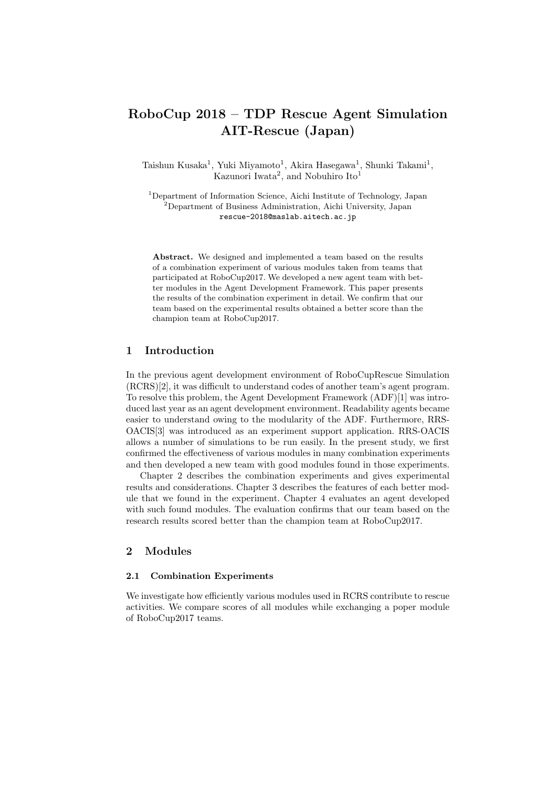# **RoboCup 2018 – TDP Rescue Agent Simulation AIT-Rescue (Japan)**

Taishun Kusaka<sup>1</sup>, Yuki Miyamoto<sup>1</sup>, Akira Hasegawa<sup>1</sup>, Shunki Takami<sup>1</sup>, Kazunori Iwata<sup>2</sup>, and Nobuhiro Ito<sup>1</sup>

<sup>1</sup>Department of Information Science, Aichi Institute of Technology, Japan <sup>2</sup>Department of Business Administration, Aichi University, Japan rescue-2018@maslab.aitech.ac.jp

**Abstract.** We designed and implemented a team based on the results of a combination experiment of various modules taken from teams that participated at RoboCup2017. We developed a new agent team with better modules in the Agent Development Framework. This paper presents the results of the combination experiment in detail. We confirm that our team based on the experimental results obtained a better score than the champion team at RoboCup2017.

### **1 Introduction**

In the previous agent development environment of RoboCupRescue Simulation (RCRS)[2], it was difficult to understand codes of another team's agent program. To resolve this problem, the Agent Development Framework (ADF)[1] was introduced last year as an agent development environment. Readability agents became easier to understand owing to the modularity of the ADF. Furthermore, RRS-OACIS[3] was introduced as an experiment support application. RRS-OACIS allows a number of simulations to be run easily. In the present study, we first confirmed the effectiveness of various modules in many combination experiments and then developed a new team with good modules found in those experiments.

Chapter 2 describes the combination experiments and gives experimental results and considerations. Chapter 3 describes the features of each better module that we found in the experiment. Chapter 4 evaluates an agent developed with such found modules. The evaluation confirms that our team based on the research results scored better than the champion team at RoboCup2017.

## **2 Modules**

#### **2.1 Combination Experiments**

We investigate how efficiently various modules used in RCRS contribute to rescue activities. We compare scores of all modules while exchanging a poper module of RoboCup2017 teams.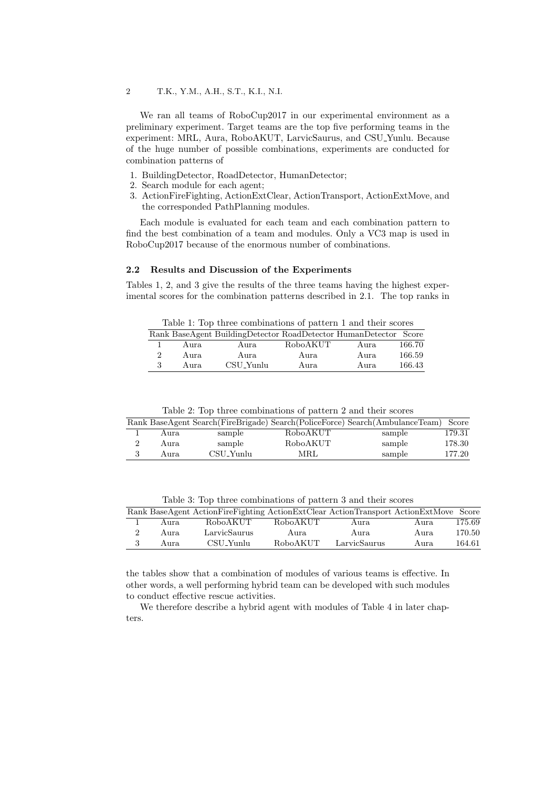We ran all teams of RoboCup2017 in our experimental environment as a preliminary experiment. Target teams are the top five performing teams in the experiment: MRL, Aura, RoboAKUT, LarvicSaurus, and CSU Yunlu. Because of the huge number of possible combinations, experiments are conducted for combination patterns of

- 1. BuildingDetector, RoadDetector, HumanDetector;
- 2. Search module for each agent;
- 3. ActionFireFighting, ActionExtClear, ActionTransport, ActionExtMove, and the corresponded PathPlanning modules.

Each module is evaluated for each team and each combination pattern to find the best combination of a team and modules. Only a VC3 map is used in RoboCup2017 because of the enormous number of combinations.

#### **2.2 Results and Discussion of the Experiments**

Tables 1, 2, and 3 give the results of the three teams having the highest experimental scores for the combination patterns described in 2.1. The top ranks in

Table 1: Top three combinations of pattern 1 and their scores

|      | Rank BaseAgent BuildingDetector RoadDetector HumanDetector Score |          |       |        |
|------|------------------------------------------------------------------|----------|-------|--------|
| Aura | Aura                                                             | RoboAKUT | Aura. | 166.70 |
| Aura | Aura                                                             | Aura     | Aura  | 166.59 |
| Aura | CSU Yunlu                                                        | Aura     | Aura. | 166.43 |

Table 2: Top three combinations of pattern 2 and their scores

|       |           |          | Rank BaseAgent Search(FireBrigade) Search(PoliceForce) Search(AmbulanceTeam) Score |        |
|-------|-----------|----------|------------------------------------------------------------------------------------|--------|
| Aura. | sample    | RoboAKUT | sample                                                                             | 179.31 |
| Aura. | sample    | RoboAKUT | sample                                                                             | 178.30 |
| Aura. | CSU Yunlu | MRL      | sample                                                                             | 177.20 |

Table 3: Top three combinations of pattern 3 and their scores

|       | Rank BaseAgent ActionFireFighting ActionExtClear ActionTransport ActionExtMove Score |          |              |       |        |
|-------|--------------------------------------------------------------------------------------|----------|--------------|-------|--------|
| Aura. | RoboAKUT                                                                             | RoboAKUT | Aura.        | Aura. | 175.69 |
| Aura. | LarvicSaurus                                                                         | Aura.    | Aura.        | Aura. | 170.50 |
| Aura. | CSU_Yunlu                                                                            | RoboAKUT | LarvicSaurus | Aura. | 164.61 |

the tables show that a combination of modules of various teams is effective. In other words, a well performing hybrid team can be developed with such modules to conduct effective rescue activities.

We therefore describe a hybrid agent with modules of Table 4 in later chapters.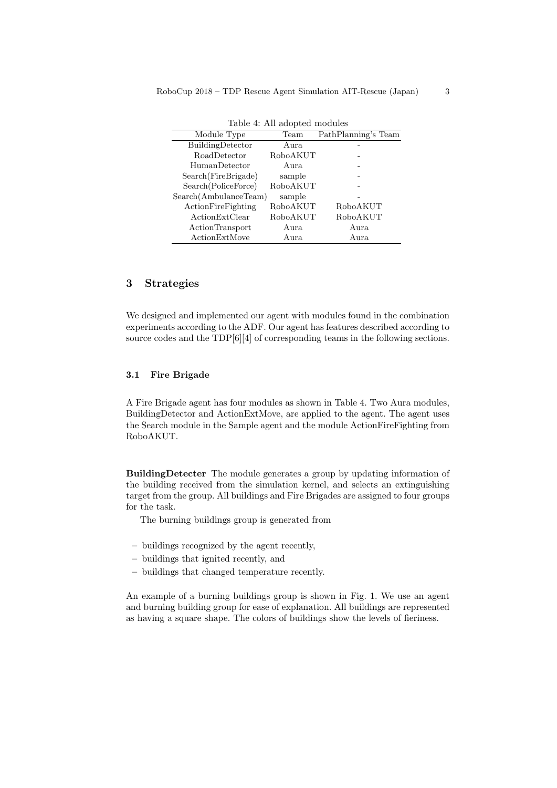| rabic +. The adopted modules |          |                     |  |  |  |
|------------------------------|----------|---------------------|--|--|--|
| Module Type                  | Team     | PathPlanning's Team |  |  |  |
| BuildingDetector             | Aura     |                     |  |  |  |
| <b>RoadDetector</b>          | RoboAKUT |                     |  |  |  |
| <b>HumanDetector</b>         | Aura     |                     |  |  |  |
| Search(FireBrigade)          | sample   |                     |  |  |  |
| Search (PoliceForce)         | RoboAKUT |                     |  |  |  |
| Search(AmbulanceTeam)        | sample   |                     |  |  |  |
| ActionFireFighting           | RoboAKUT | RoboAKUT            |  |  |  |
| ActionExtClear               | RoboAKUT | RoboAKUT            |  |  |  |
| ActionTransport              | Aura     | Aura                |  |  |  |
| ActionExtMove                | Aura     | Aura                |  |  |  |

Table 4: All adopted modules

# **3 Strategies**

We designed and implemented our agent with modules found in the combination experiments according to the ADF. Our agent has features described according to source codes and the TDP[6][4] of corresponding teams in the following sections.

#### **3.1 Fire Brigade**

A Fire Brigade agent has four modules as shown in Table 4. Two Aura modules, BuildingDetector and ActionExtMove, are applied to the agent. The agent uses the Search module in the Sample agent and the module ActionFireFighting from RoboAKUT.

**BuildingDetecter** The module generates a group by updating information of the building received from the simulation kernel, and selects an extinguishing target from the group. All buildings and Fire Brigades are assigned to four groups for the task.

The burning buildings group is generated from

- **–** buildings recognized by the agent recently,
- **–** buildings that ignited recently, and
- **–** buildings that changed temperature recently.

An example of a burning buildings group is shown in Fig. 1. We use an agent and burning building group for ease of explanation. All buildings are represented as having a square shape. The colors of buildings show the levels of fieriness.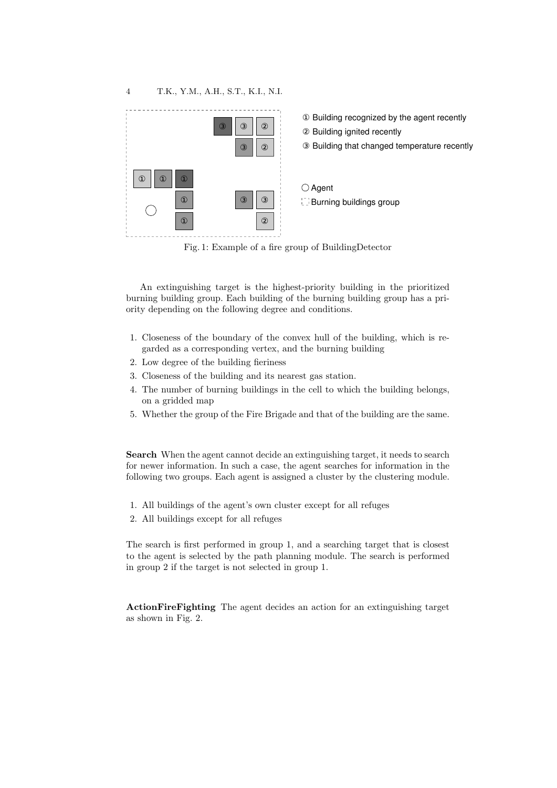

Fig. 1: Example of a fire group of BuildingDetector

An extinguishing target is the highest-priority building in the prioritized burning building group. Each building of the burning building group has a priority depending on the following degree and conditions.

- 1. Closeness of the boundary of the convex hull of the building, which is regarded as a corresponding vertex, and the burning building
- 2. Low degree of the building fieriness
- 3. Closeness of the building and its nearest gas station.
- 4. The number of burning buildings in the cell to which the building belongs, on a gridded map
- 5. Whether the group of the Fire Brigade and that of the building are the same.

**Search** When the agent cannot decide an extinguishing target, it needs to search for newer information. In such a case, the agent searches for information in the following two groups. Each agent is assigned a cluster by the clustering module.

- 1. All buildings of the agent's own cluster except for all refuges
- 2. All buildings except for all refuges

The search is first performed in group 1, and a searching target that is closest to the agent is selected by the path planning module. The search is performed in group 2 if the target is not selected in group 1.

**ActionFireFighting** The agent decides an action for an extinguishing target as shown in Fig. 2.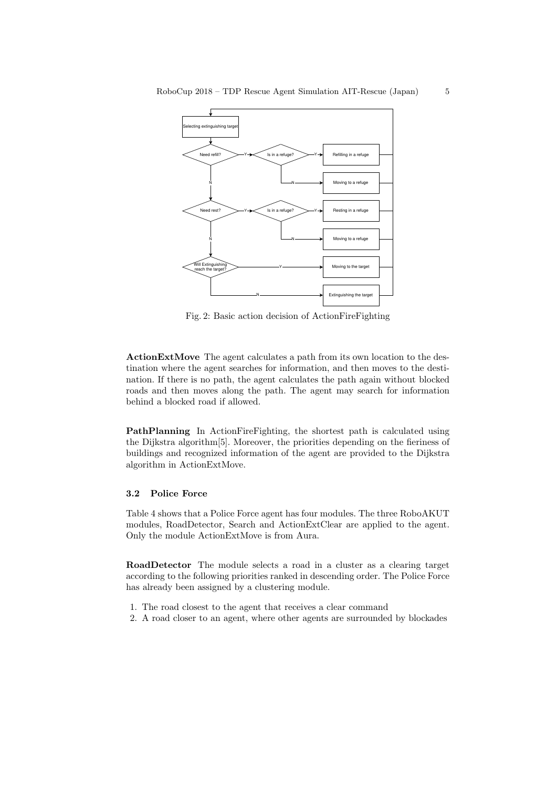

Fig. 2: Basic action decision of ActionFireFighting

**ActionExtMove** The agent calculates a path from its own location to the destination where the agent searches for information, and then moves to the destination. If there is no path, the agent calculates the path again without blocked roads and then moves along the path. The agent may search for information behind a blocked road if allowed.

**PathPlanning** In ActionFireFighting, the shortest path is calculated using the Dijkstra algorithm[5]. Moreover, the priorities depending on the fieriness of buildings and recognized information of the agent are provided to the Dijkstra algorithm in ActionExtMove.

#### **3.2 Police Force**

Table 4 shows that a Police Force agent has four modules. The three RoboAKUT modules, RoadDetector, Search and ActionExtClear are applied to the agent. Only the module ActionExtMove is from Aura.

**RoadDetector** The module selects a road in a cluster as a clearing target according to the following priorities ranked in descending order. The Police Force has already been assigned by a clustering module.

- 1. The road closest to the agent that receives a clear command
- 2. A road closer to an agent, where other agents are surrounded by blockades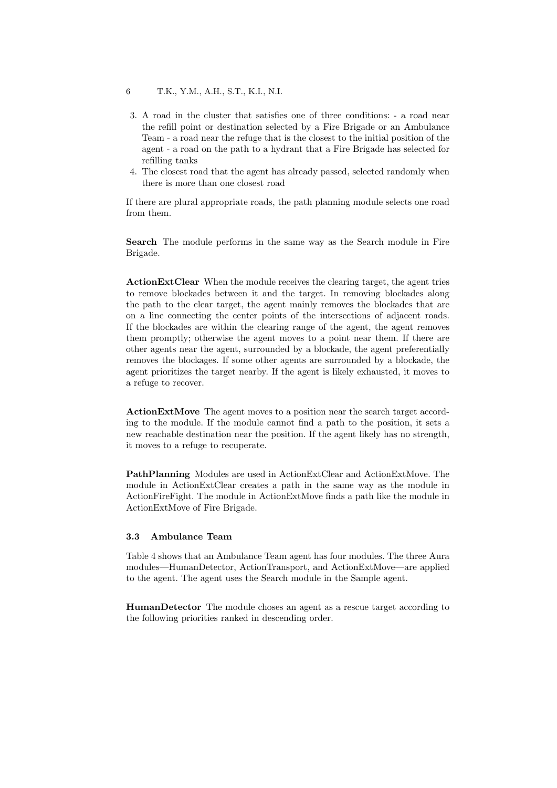6 T.K., Y.M., A.H., S.T., K.I., N.I.

- 3. A road in the cluster that satisfies one of three conditions: a road near the refill point or destination selected by a Fire Brigade or an Ambulance Team - a road near the refuge that is the closest to the initial position of the agent - a road on the path to a hydrant that a Fire Brigade has selected for refilling tanks
- 4. The closest road that the agent has already passed, selected randomly when there is more than one closest road

If there are plural appropriate roads, the path planning module selects one road from them.

**Search** The module performs in the same way as the Search module in Fire Brigade.

**ActionExtClear** When the module receives the clearing target, the agent tries to remove blockades between it and the target. In removing blockades along the path to the clear target, the agent mainly removes the blockades that are on a line connecting the center points of the intersections of adjacent roads. If the blockades are within the clearing range of the agent, the agent removes them promptly; otherwise the agent moves to a point near them. If there are other agents near the agent, surrounded by a blockade, the agent preferentially removes the blockages. If some other agents are surrounded by a blockade, the agent prioritizes the target nearby. If the agent is likely exhausted, it moves to a refuge to recover.

**ActionExtMove** The agent moves to a position near the search target according to the module. If the module cannot find a path to the position, it sets a new reachable destination near the position. If the agent likely has no strength, it moves to a refuge to recuperate.

**PathPlanning** Modules are used in ActionExtClear and ActionExtMove. The module in ActionExtClear creates a path in the same way as the module in ActionFireFight. The module in ActionExtMove finds a path like the module in ActionExtMove of Fire Brigade.

## **3.3 Ambulance Team**

Table 4 shows that an Ambulance Team agent has four modules. The three Aura modules—HumanDetector, ActionTransport, and ActionExtMove—are applied to the agent. The agent uses the Search module in the Sample agent.

**HumanDetector** The module choses an agent as a rescue target according to the following priorities ranked in descending order.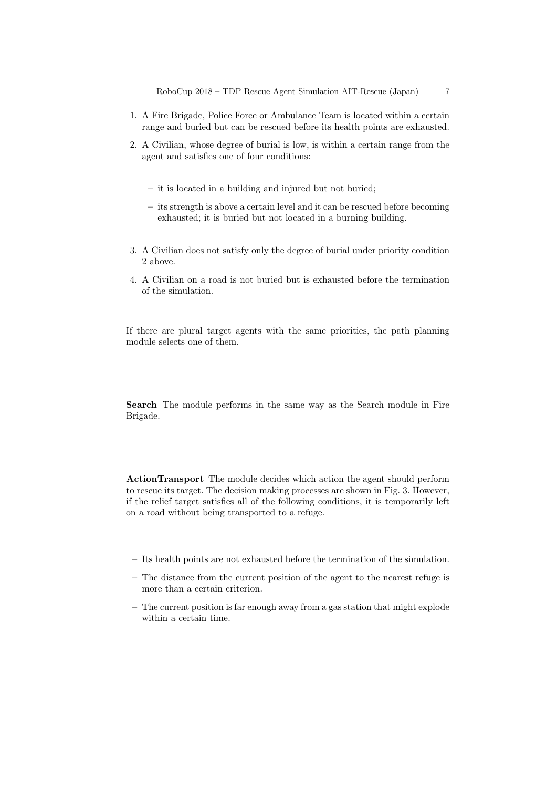- 1. A Fire Brigade, Police Force or Ambulance Team is located within a certain range and buried but can be rescued before its health points are exhausted.
- 2. A Civilian, whose degree of burial is low, is within a certain range from the agent and satisfies one of four conditions:
	- **–** it is located in a building and injured but not buried;
	- **–** its strength is above a certain level and it can be rescued before becoming exhausted; it is buried but not located in a burning building.
- 3. A Civilian does not satisfy only the degree of burial under priority condition 2 above.
- 4. A Civilian on a road is not buried but is exhausted before the termination of the simulation.

If there are plural target agents with the same priorities, the path planning module selects one of them.

**Search** The module performs in the same way as the Search module in Fire Brigade.

**ActionTransport** The module decides which action the agent should perform to rescue its target. The decision making processes are shown in Fig. 3. However, if the relief target satisfies all of the following conditions, it is temporarily left on a road without being transported to a refuge.

- **–** Its health points are not exhausted before the termination of the simulation.
- **–** The distance from the current position of the agent to the nearest refuge is more than a certain criterion.
- **–** The current position is far enough away from a gas station that might explode within a certain time.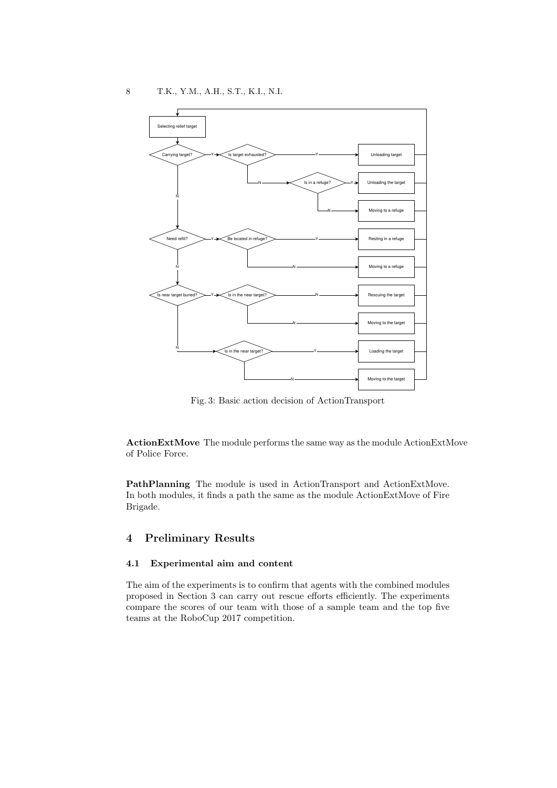

Fig. 3: Basic action decision of ActionTransport

**ActionExtMove** The module performs the same way as the module ActionExtMove of Police Force.

**PathPlanning** The module is used in ActionTransport and ActionExtMove. In both modules, it finds a path the same as the module ActionExtMove of Fire Brigade.

# **4 Preliminary Results**

#### **4.1 Experimental aim and content**

The aim of the experiments is to confirm that agents with the combined modules proposed in Section 3 can carry out rescue efforts efficiently. The experiments compare the scores of our team with those of a sample team and the top five teams at the RoboCup 2017 competition.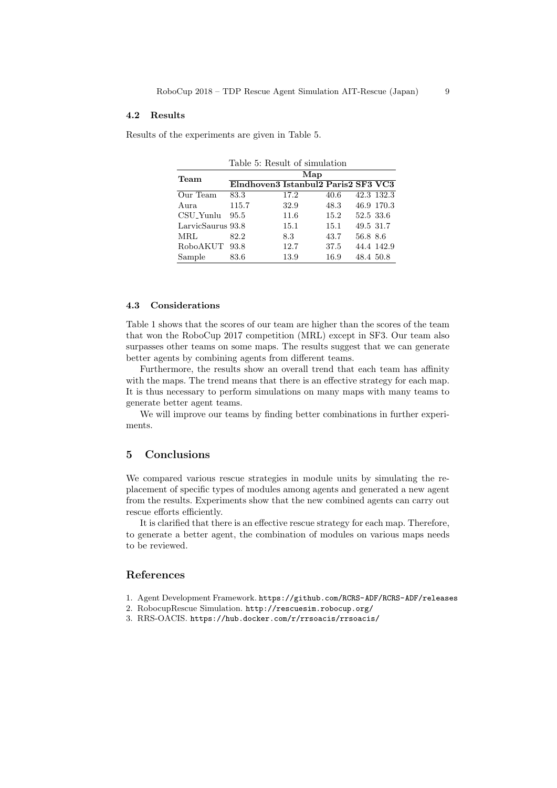#### **4.2 Results**

Results of the experiments are given in Table 5.

| Table 5: Result of simulation |                                     |      |      |           |            |  |
|-------------------------------|-------------------------------------|------|------|-----------|------------|--|
| Team                          | Map                                 |      |      |           |            |  |
|                               | Elndhoven3 Istanbul2 Paris2 SF3 VC3 |      |      |           |            |  |
| Our Team                      | 83.3                                | 17.2 | 40.6 |           | 42.3 132.3 |  |
| Aura                          | 115.7                               | 32.9 | 48.3 |           | 46.9 170.3 |  |
| CSU_Yunlu                     | 95.5                                | 11.6 | 15.2 | 52.5 33.6 |            |  |
| LarvicSaurus 93.8             |                                     | 15.1 | 15.1 | 49.5 31.7 |            |  |
| MRL                           | 82.2                                | 8.3  | 43.7 | 56.8 8.6  |            |  |
| RoboAKUT                      | 93.8                                | 12.7 | 37.5 |           | 44.4 142.9 |  |
| Sample                        | 83.6                                | 13.9 | 16.9 | 48.4 50.8 |            |  |

### **4.3 Considerations**

Table 1 shows that the scores of our team are higher than the scores of the team that won the RoboCup 2017 competition (MRL) except in SF3. Our team also surpasses other teams on some maps. The results suggest that we can generate better agents by combining agents from different teams.

Furthermore, the results show an overall trend that each team has affinity with the maps. The trend means that there is an effective strategy for each map. It is thus necessary to perform simulations on many maps with many teams to generate better agent teams.

We will improve our teams by finding better combinations in further experiments.

## **5 Conclusions**

We compared various rescue strategies in module units by simulating the replacement of specific types of modules among agents and generated a new agent from the results. Experiments show that the new combined agents can carry out rescue efforts efficiently.

It is clarified that there is an effective rescue strategy for each map. Therefore, to generate a better agent, the combination of modules on various maps needs to be reviewed.

#### **References**

- 1. Agent Development Framework. https://github.com/RCRS-ADF/RCRS-ADF/releases
- 2. RobocupRescue Simulation. http://rescuesim.robocup.org/
- 3. RRS-OACIS. https://hub.docker.com/r/rrsoacis/rrsoacis/